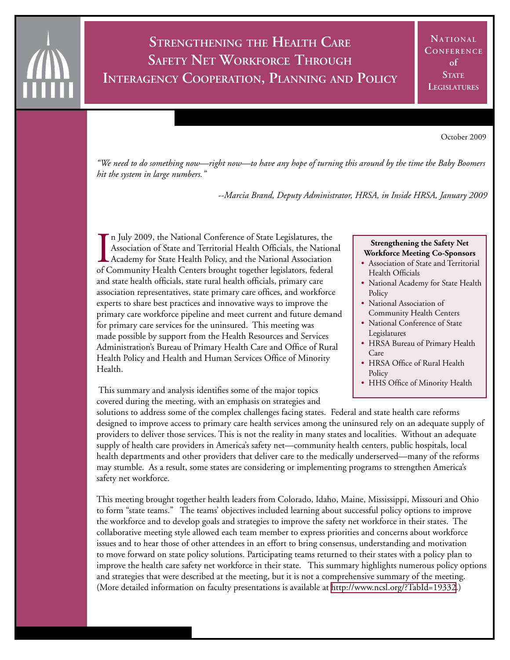## **Strengthening the Health Care Safety Net Workforce Through Interagency Cooperation, Planning and Policy**

October 2009

*"We need to do something now—right now—to have any hope of turning this around by the time the Baby Boomers hit the system in large numbers."*

 *--Marcia Brand, Deputy Administrator, HRSA, in Inside HRSA, January 2009*

In July 2009, the National Conference of State Legislatures, the Association of State and Territorial Health Officials, the National Association of Community Health Centers brought together legislators, federal n July 2009, the National Conference of State Legislatures, the Association of State and Territorial Health Officials, the National Academy for State Health Policy, and the National Association and state health officials, state rural health officials, primary care association representatives, state primary care offices, and workforce experts to share best practices and innovative ways to improve the primary care workforce pipeline and meet current and future demand for primary care services for the uninsured. This meeting was made possible by support from the Health Resources and Services Administration's Bureau of Primary Health Care and Office of Rural Health Policy and Health and Human Services Office of Minority Health.

 This summary and analysis identifies some of the major topics covered during the meeting, with an emphasis on strategies and

#### **Strengthening the Safety Net Workforce Meeting Co-Sponsors**

- Association of State and Territorial Health Officials
- National Academy for State Health **Policy**
- National Association of Community Health Centers
- National Conference of State Legislatures
- HRSA Bureau of Primary Health Care
- HRSA Office of Rural Health **Policy**
- HHS Office of Minority Health

solutions to address some of the complex challenges facing states. Federal and state health care reforms designed to improve access to primary care health services among the uninsured rely on an adequate supply of providers to deliver those services. This is not the reality in many states and localities. Without an adequate supply of health care providers in America's safety net—community health centers, public hospitals, local health departments and other providers that deliver care to the medically underserved—many of the reforms may stumble. As a result, some states are considering or implementing programs to strengthen America's safety net workforce.

This meeting brought together health leaders from Colorado, Idaho, Maine, Mississippi, Missouri and Ohio to form "state teams." The teams' objectives included learning about successful policy options to improve the workforce and to develop goals and strategies to improve the safety net workforce in their states. The collaborative meeting style allowed each team member to express priorities and concerns about workforce issues and to hear those of other attendees in an effort to bring consensus, understanding and motivation to move forward on state policy solutions. Participating teams returned to their states with a policy plan to improve the health care safety net workforce in their state. This summary highlights numerous policy options and strategies that were described at the meeting, but it is not a comprehensive summary of the meeting. (More detailed information on faculty presentations is available at [http://www.ncsl.org/?TabId=19332.](http://www.ncsl.org/?TabId=19332))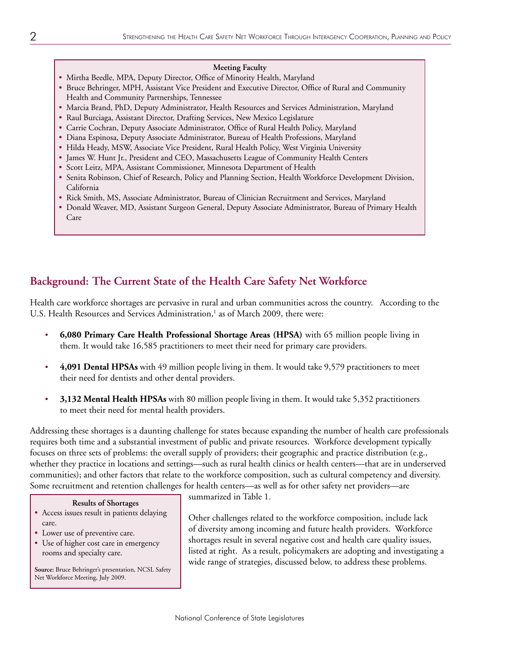#### **Meeting Faculty**

- Mirtha Beedle, MPA, Deputy Director, Office of Minority Health, Maryland
- Bruce Behringer, MPH, Assistant Vice President and Executive Director, Office of Rural and Community Health and Community Partnerships, Tennessee
- Marcia Brand, PhD, Deputy Administrator, Health Resources and Services Administration, Maryland
- Raul Burciaga, Assistant Director, Drafting Services, New Mexico Legislature
- Carrie Cochran, Deputy Associate Administrator, Office of Rural Health Policy, Maryland
- Diana Espinosa, Deputy Associate Administrator, Bureau of Health Professions, Maryland
- Hilda Heady, MSW, Associate Vice President, Rural Health Policy, West Virginia University
- James W. Hunt Jr., President and CEO, Massachusetts League of Community Health Centers
- Scott Leitz, MPA, Assistant Commissioner, Minnesota Department of Health
- Senita Robinson, Chief of Research, Policy and Planning Section, Health Workforce Development Division, California
- Rick Smith, MS, Associate Administrator, Bureau of Clinician Recruitment and Services, Maryland
- Donald Weaver, MD, Assistant Surgeon General, Deputy Associate Administrator, Bureau of Primary Health Care

## **Background: The Current State of the Health Care Safety Net Workforce**

Health care workforce shortages are pervasive in rural and urban communities across the country. According to the U.S. Health Resources and Services Administration,<sup>1</sup> as of March 2009, there were:

- **6,080 Primary Care Health Professional Shortage Areas (HPSA)** with 65 million people living in them. It would take 16,585 practitioners to meet their need for primary care providers.
- **4,091 Dental HPSAs** with 49 million people living in them. It would take 9,579 practitioners to meet their need for dentists and other dental providers.
- **3,132 Mental Health HPSAs** with 80 million people living in them. It would take 5,352 practitioners to meet their need for mental health providers.

Addressing these shortages is a daunting challenge for states because expanding the number of health care professionals requires both time and a substantial investment of public and private resources. Workforce development typically focuses on three sets of problems: the overall supply of providers; their geographic and practice distribution (e.g., whether they practice in locations and settings—such as rural health clinics or health centers—that are in underserved communities); and other factors that relate to the workforce composition, such as cultural competency and diversity. Some recruitment and retention challenges for health centers—as well as for other safety net providers—are

#### **Results of Shortages**

- Access issues result in patients delaying care.
- Lower use of preventive care.
- Use of higher cost care in emergency rooms and specialty care.

**Source:** Bruce Behringer's presentation, NCSL Safety Net Workforce Meeting, July 2009.

summarized in Table 1.

Other challenges related to the workforce composition, include lack of diversity among incoming and future health providers. Workforce shortages result in several negative cost and health care quality issues, listed at right. As a result, policymakers are adopting and investigating a wide range of strategies, discussed below, to address these problems.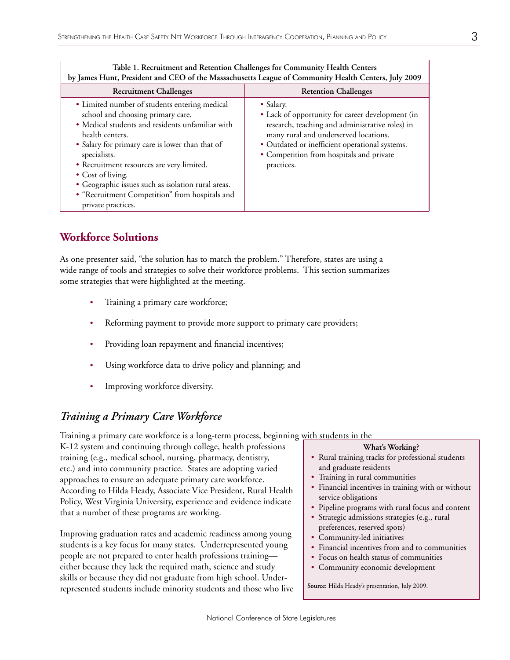| by James Hunt, President and CEO of the Massachusetts League of Community Health Centers, July 2009                                                                                                                                                                                                                                                                                                                          |                                                                                                                                                                                                                                                                       |
|------------------------------------------------------------------------------------------------------------------------------------------------------------------------------------------------------------------------------------------------------------------------------------------------------------------------------------------------------------------------------------------------------------------------------|-----------------------------------------------------------------------------------------------------------------------------------------------------------------------------------------------------------------------------------------------------------------------|
| <b>Recruitment Challenges</b>                                                                                                                                                                                                                                                                                                                                                                                                | <b>Retention Challenges</b>                                                                                                                                                                                                                                           |
| • Limited number of students entering medical<br>school and choosing primary care.<br>• Medical students and residents unfamiliar with<br>health centers.<br>• Salary for primary care is lower than that of<br>specialists.<br>• Recruitment resources are very limited.<br>• Cost of living.<br>• Geographic issues such as isolation rural areas.<br>• "Recruitment Competition" from hospitals and<br>private practices. | • Salary.<br>• Lack of opportunity for career development (in<br>research, teaching and administrative roles) in<br>many rural and underserved locations.<br>• Outdated or inefficient operational systems.<br>• Competition from hospitals and private<br>practices. |

# **Table 1. Recruitment and Retention Challenges for Community Health Centers**

## **Workforce Solutions**

As one presenter said, "the solution has to match the problem." Therefore, states are using a wide range of tools and strategies to solve their workforce problems. This section summarizes some strategies that were highlighted at the meeting.

- Training a primary care workforce;
- Reforming payment to provide more support to primary care providers;
- Providing loan repayment and financial incentives;
- Using workforce data to drive policy and planning; and
- Improving workforce diversity.

### *Training a Primary Care Workforce*

Training a primary care workforce is a long-term process, beginning with students in the

K-12 system and continuing through college, health professions training (e.g., medical school, nursing, pharmacy, dentistry, etc.) and into community practice. States are adopting varied approaches to ensure an adequate primary care workforce. According to Hilda Heady, Associate Vice President, Rural Health Policy, West Virginia University, experience and evidence indicate that a number of these programs are working.

Improving graduation rates and academic readiness among young students is a key focus for many states. Underrepresented young people are not prepared to enter health professions training either because they lack the required math, science and study skills or because they did not graduate from high school. Underrepresented students include minority students and those who live

#### **What's Working?**

- Rural training tracks for professional students and graduate residents
- Training in rural communities
- Financial incentives in training with or without service obligations
- Pipeline programs with rural focus and content
- Strategic admissions strategies (e.g., rural preferences, reserved spots)
- Community-led initiatives
- Financial incentives from and to communities
- Focus on health status of communities
- Community economic development

**Source:** Hilda Heady's presentation, July 2009.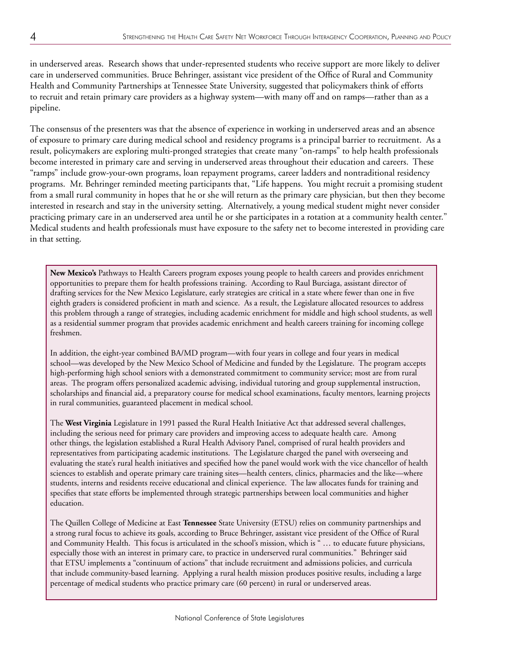in underserved areas. Research shows that under-represented students who receive support are more likely to deliver care in underserved communities. Bruce Behringer, assistant vice president of the Office of Rural and Community Health and Community Partnerships at Tennessee State University, suggested that policymakers think of efforts to recruit and retain primary care providers as a highway system—with many off and on ramps—rather than as a pipeline.

The consensus of the presenters was that the absence of experience in working in underserved areas and an absence of exposure to primary care during medical school and residency programs is a principal barrier to recruitment. As a result, policymakers are exploring multi-pronged strategies that create many "on-ramps" to help health professionals become interested in primary care and serving in underserved areas throughout their education and careers. These "ramps" include grow-your-own programs, loan repayment programs, career ladders and nontraditional residency programs. Mr. Behringer reminded meeting participants that, "Life happens. You might recruit a promising student from a small rural community in hopes that he or she will return as the primary care physician, but then they become interested in research and stay in the university setting. Alternatively, a young medical student might never consider practicing primary care in an underserved area until he or she participates in a rotation at a community health center." Medical students and health professionals must have exposure to the safety net to become interested in providing care in that setting.

**New Mexico's** Pathways to Health Careers program exposes young people to health careers and provides enrichment opportunities to prepare them for health professions training. According to Raul Burciaga, assistant director of drafting services for the New Mexico Legislature, early strategies are critical in a state where fewer than one in five eighth graders is considered proficient in math and science. As a result, the Legislature allocated resources to address this problem through a range of strategies, including academic enrichment for middle and high school students, as well as a residential summer program that provides academic enrichment and health careers training for incoming college freshmen.

In addition, the eight-year combined BA/MD program—with four years in college and four years in medical school—was developed by the New Mexico School of Medicine and funded by the Legislature. The program accepts high-performing high school seniors with a demonstrated commitment to community service; most are from rural areas. The program offers personalized academic advising, individual tutoring and group supplemental instruction, scholarships and financial aid, a preparatory course for medical school examinations, faculty mentors, learning projects in rural communities, guaranteed placement in medical school.

The **West Virginia** Legislature in 1991 passed the Rural Health Initiative Act that addressed several challenges, including the serious need for primary care providers and improving access to adequate health care. Among other things, the legislation established a Rural Health Advisory Panel, comprised of rural health providers and representatives from participating academic institutions. The Legislature charged the panel with overseeing and evaluating the state's rural health initiatives and specified how the panel would work with the vice chancellor of health sciences to establish and operate primary care training sites—health centers, clinics, pharmacies and the like—where students, interns and residents receive educational and clinical experience. The law allocates funds for training and specifies that state efforts be implemented through strategic partnerships between local communities and higher education.

The Quillen College of Medicine at East **Tennessee** State University (ETSU) relies on community partnerships and a strong rural focus to achieve its goals, according to Bruce Behringer, assistant vice president of the Office of Rural and Community Health. This focus is articulated in the school's mission, which is " … to educate future physicians, especially those with an interest in primary care, to practice in underserved rural communities." Behringer said that ETSU implements a "continuum of actions" that include recruitment and admissions policies, and curricula that include community-based learning. Applying a rural health mission produces positive results, including a large percentage of medical students who practice primary care (60 percent) in rural or underserved areas.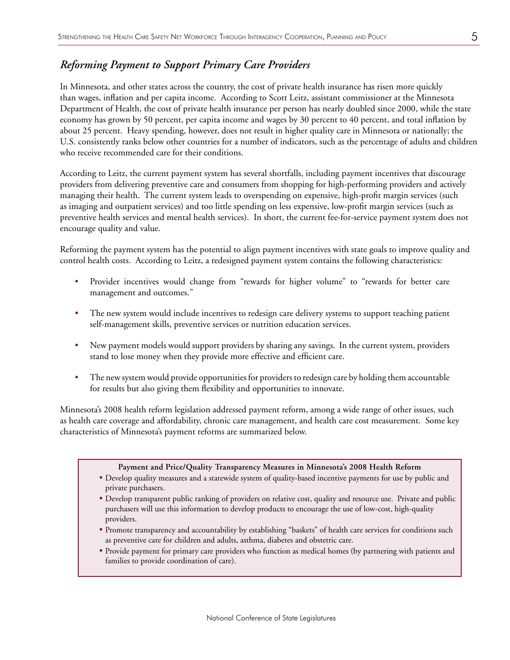#### *Reforming Payment to Support Primary Care Providers*

In Minnesota, and other states across the country, the cost of private health insurance has risen more quickly than wages, inflation and per capita income. According to Scott Leitz, assistant commissioner at the Minnesota Department of Health, the cost of private health insurance per person has nearly doubled since 2000, while the state economy has grown by 50 percent, per capita income and wages by 30 percent to 40 percent, and total inflation by about 25 percent. Heavy spending, however, does not result in higher quality care in Minnesota or nationally; the U.S. consistently ranks below other countries for a number of indicators, such as the percentage of adults and children who receive recommended care for their conditions.

According to Leitz, the current payment system has several shortfalls, including payment incentives that discourage providers from delivering preventive care and consumers from shopping for high-performing providers and actively managing their health. The current system leads to overspending on expensive, high-profit margin services (such as imaging and outpatient services) and too little spending on less expensive, low-profit margin services (such as preventive health services and mental health services). In short, the current fee-for-service payment system does not encourage quality and value.

Reforming the payment system has the potential to align payment incentives with state goals to improve quality and control health costs. According to Leitz, a redesigned payment system contains the following characteristics:

- Provider incentives would change from "rewards for higher volume" to "rewards for better care management and outcomes."
- The new system would include incentives to redesign care delivery systems to support teaching patient self-management skills, preventive services or nutrition education services.
- New payment models would support providers by sharing any savings. In the current system, providers stand to lose money when they provide more effective and efficient care.
- The new system would provide opportunities for providers to redesign care by holding them accountable for results but also giving them flexibility and opportunities to innovate.

Minnesota's 2008 health reform legislation addressed payment reform, among a wide range of other issues, such as health care coverage and affordability, chronic care management, and health care cost measurement. Some key characteristics of Minnesota's payment reforms are summarized below.

#### **Payment and Price/Quality Transparency Measures in Minnesota's 2008 Health Reform**

- Develop quality measures and a statewide system of quality-based incentive payments for use by public and private purchasers.
- Develop transparent public ranking of providers on relative cost, quality and resource use. Private and public purchasers will use this information to develop products to encourage the use of low-cost, high-quality providers.
- Promote transparency and accountability by establishing "baskets" of health care services for conditions such as preventive care for children and adults, asthma, diabetes and obstetric care.
- Provide payment for primary care providers who function as medical homes (by partnering with patients and families to provide coordination of care).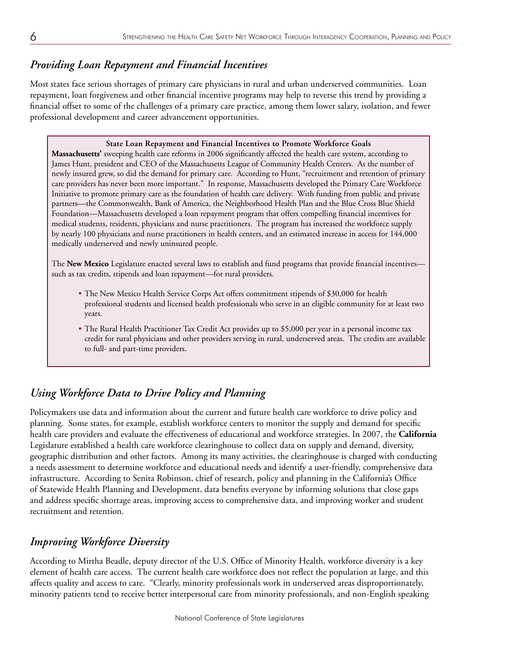## *Providing Loan Repayment and Financial Incentives*

Most states face serious shortages of primary care physicians in rural and urban underserved communities. Loan repayment, loan forgiveness and other financial incentive programs may help to reverse this trend by providing a financial offset to some of the challenges of a primary care practice, among them lower salary, isolation, and fewer professional development and career advancement opportunities.

#### **State Loan Repayment and Financial Incentives to Promote Workforce Goals**

**Massachusetts'** sweeping health care reforms in 2006 significantly affected the health care system, according to James Hunt, president and CEO of the Massachusetts League of Community Health Centers. As the number of newly insured grew, so did the demand for primary care. According to Hunt, "recruitment and retention of primary care providers has never been more important." In response, Massachusetts developed the Primary Care Workforce Initiative to promote primary care as the foundation of health care delivery. With funding from public and private partners—the Commonwealth, Bank of America, the Neighborhood Health Plan and the Blue Cross Blue Shield Foundation—Massachusetts developed a loan repayment program that offers compelling financial incentives for medical students, residents, physicians and nurse practitioners. The program has increased the workforce supply by nearly 100 physicians and nurse practitioners in health centers, and an estimated increase in access for 144,000 medically underserved and newly uninsured people.

The **New Mexico** Legislature enacted several laws to establish and fund programs that provide financial incentives such as tax credits, stipends and loan repayment—for rural providers.

- The New Mexico Health Service Corps Act offers commitment stipends of \$30,000 for health professional students and licensed health professionals who serve in an eligible community for at least two years.
- The Rural Health Practitioner Tax Credit Act provides up to \$5,000 per year in a personal income tax credit for rural physicians and other providers serving in rural, underserved areas. The credits are available to full- and part-time providers.

## *Using Workforce Data to Drive Policy and Planning*

Policymakers use data and information about the current and future health care workforce to drive policy and planning. Some states, for example, establish workforce centers to monitor the supply and demand for specific health care providers and evaluate the effectiveness of educational and workforce strategies. In 2007, the **California** Legislature established a health care workforce clearinghouse to collect data on supply and demand, diversity, geographic distribution and other factors. Among its many activities, the clearinghouse is charged with conducting a needs assessment to determine workforce and educational needs and identify a user-friendly, comprehensive data infrastructure. According to Senita Robinson, chief of research, policy and planning in the California's Office of Statewide Health Planning and Development, data benefits everyone by informing solutions that close gaps and address specific shortage areas, improving access to comprehensive data, and improving worker and student recruitment and retention.

## *Improving Workforce Diversity*

According to Mirtha Beadle, deputy director of the U.S. Office of Minority Health, workforce diversity is a key element of health care access. The current health care workforce does not reflect the population at large, and this affects quality and access to care. "Clearly, minority professionals work in underserved areas disproportionately, minority patients tend to receive better interpersonal care from minority professionals, and non-English speaking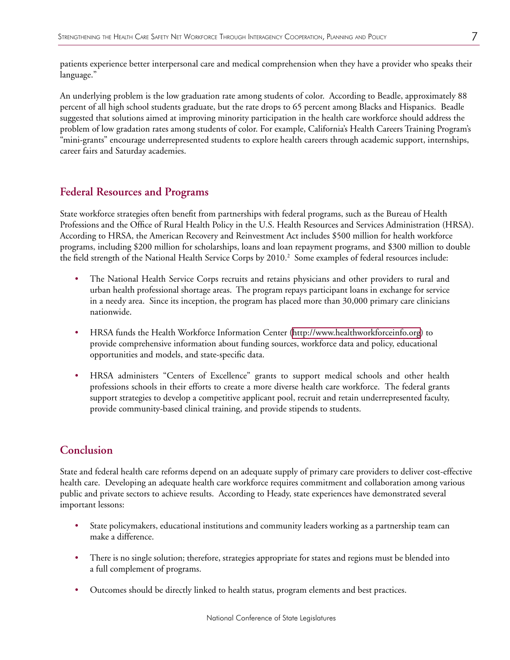patients experience better interpersonal care and medical comprehension when they have a provider who speaks their language."

An underlying problem is the low graduation rate among students of color. According to Beadle, approximately 88 percent of all high school students graduate, but the rate drops to 65 percent among Blacks and Hispanics. Beadle suggested that solutions aimed at improving minority participation in the health care workforce should address the problem of low gradation rates among students of color. For example, California's Health Careers Training Program's "mini-grants" encourage underrepresented students to explore health careers through academic support, internships, career fairs and Saturday academies.

#### **Federal Resources and Programs**

State workforce strategies often benefit from partnerships with federal programs, such as the Bureau of Health Professions and the Office of Rural Health Policy in the U.S. Health Resources and Services Administration (HRSA). According to HRSA, the American Recovery and Reinvestment Act includes \$500 million for health workforce programs, including \$200 million for scholarships, loans and loan repayment programs, and \$300 million to double the field strength of the National Health Service Corps by 2010.<sup>2</sup> Some examples of federal resources include:

- The National Health Service Corps recruits and retains physicians and other providers to rural and urban health professional shortage areas. The program repays participant loans in exchange for service in a needy area. Since its inception, the program has placed more than 30,000 primary care clinicians nationwide.
- HRSA funds the Health Workforce Information Center [\(http://www.healthworkforceinfo.org\)](http://www.healthworkforceinfo.org) to provide comprehensive information about funding sources, workforce data and policy, educational opportunities and models, and state-specific data.
- HRSA administers "Centers of Excellence" grants to support medical schools and other health professions schools in their efforts to create a more diverse health care workforce. The federal grants support strategies to develop a competitive applicant pool, recruit and retain underrepresented faculty, provide community-based clinical training, and provide stipends to students.

### **Conclusion**

State and federal health care reforms depend on an adequate supply of primary care providers to deliver cost-effective health care. Developing an adequate health care workforce requires commitment and collaboration among various public and private sectors to achieve results. According to Heady, state experiences have demonstrated several important lessons:

- State policymakers, educational institutions and community leaders working as a partnership team can make a difference.
- There is no single solution; therefore, strategies appropriate for states and regions must be blended into a full complement of programs.
- Outcomes should be directly linked to health status, program elements and best practices.